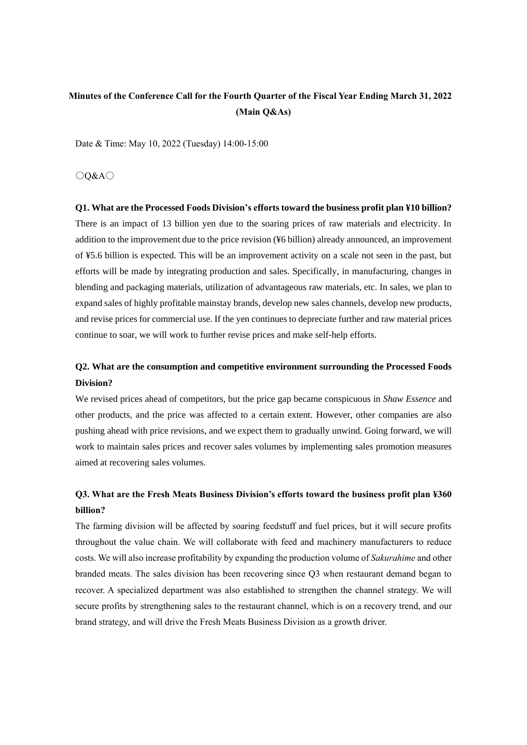# **Minutes of the Conference Call for the Fourth Quarter of the Fiscal Year Ending March 31, 2022 (Main Q&As)**

Date & Time: May 10, 2022 (Tuesday) 14:00-15:00

○Q&A○

**Q1. What are the Processed Foods Division's efforts toward the business profit plan ¥10 billion?** There is an impact of 13 billion yen due to the soaring prices of raw materials and electricity. In addition to the improvement due to the price revision (¥6 billion) already announced, an improvement of ¥5.6 billion is expected. This will be an improvement activity on a scale not seen in the past, but efforts will be made by integrating production and sales. Specifically, in manufacturing, changes in blending and packaging materials, utilization of advantageous raw materials, etc. In sales, we plan to expand sales of highly profitable mainstay brands, develop new sales channels, develop new products, and revise prices for commercial use. If the yen continues to depreciate further and raw material prices continue to soar, we will work to further revise prices and make self-help efforts.

## **Q2. What are the consumption and competitive environment surrounding the Processed Foods Division?**

We revised prices ahead of competitors, but the price gap became conspicuous in *Shaw Essence* and other products, and the price was affected to a certain extent. However, other companies are also pushing ahead with price revisions, and we expect them to gradually unwind. Going forward, we will work to maintain sales prices and recover sales volumes by implementing sales promotion measures aimed at recovering sales volumes.

# **Q3. What are the Fresh Meats Business Division's efforts toward the business profit plan ¥360 billion?**

The farming division will be affected by soaring feedstuff and fuel prices, but it will secure profits throughout the value chain. We will collaborate with feed and machinery manufacturers to reduce costs. We will also increase profitability by expanding the production volume of *Sakurahime* and other branded meats. The sales division has been recovering since Q3 when restaurant demand began to recover. A specialized department was also established to strengthen the channel strategy. We will secure profits by strengthening sales to the restaurant channel, which is on a recovery trend, and our brand strategy, and will drive the Fresh Meats Business Division as a growth driver.